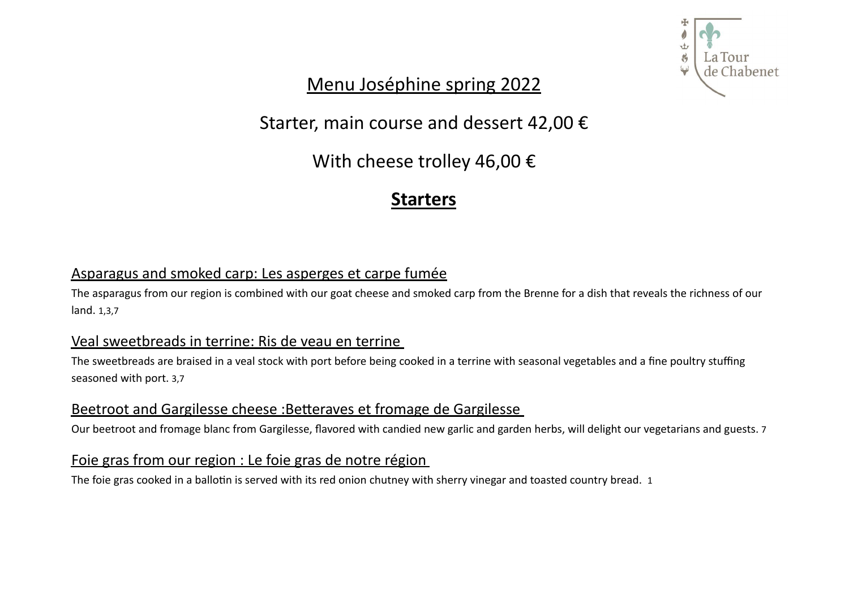

Menu Joséphine spring 2022

Starter, main course and dessert 42,00 €

With cheese trolley 46,00 €

# **Starters**

## Asparagus and smoked carp: Les asperges et carpe fumée

The asparagus from our region is combined with our goat cheese and smoked carp from the Brenne for a dish that reveals the richness of our land. 1,3,7

### Veal sweetbreads in terrine: Ris de veau en terrine

The sweetbreads are braised in a veal stock with port before being cooked in a terrine with seasonal vegetables and a fine poultry stuffing seasoned with port. 3,7

## Beetroot and Gargilesse cheese : Betteraves et fromage de Gargilesse

Our beetroot and fromage blanc from Gargilesse, flavored with candied new garlic and garden herbs, will delight our vegetarians and guests. 7

### Foie gras from our region : Le foie gras de notre région

The foie gras cooked in a ballotin is served with its red onion chutney with sherry vinegar and toasted country bread. 1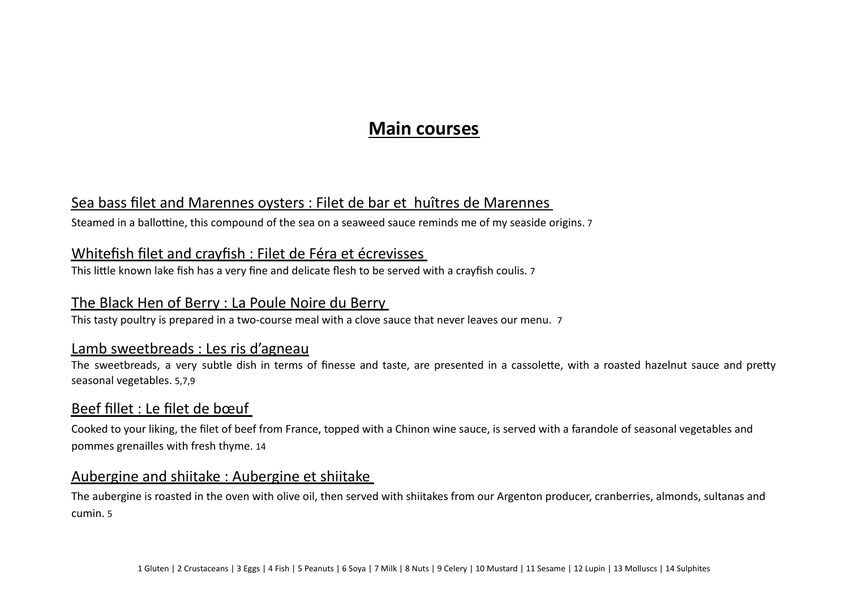# **Main courses**

### Sea bass filet and Marennes oysters : Filet de bar et huîtres de Marennes

Steamed in a ballottine, this compound of the sea on a seaweed sauce reminds me of my seaside origins. 7

#### Whitefish filet and crayfish : Filet de Féra et écrevisses

This little known lake fish has a very fine and delicate flesh to be served with a crayfish coulis. 7

### The Black Hen of Berry : La Poule Noire du Berry

This tasty poultry is prepared in a two-course meal with a clove sauce that never leaves our menu. 7

#### Lamb sweetbreads : Les ris d'agneau

The sweetbreads, a very subtle dish in terms of finesse and taste, are presented in a cassolette, with a roasted hazelnut sauce and pretty seasonal vegetables. 5,7,9

## Beef fillet : Le filet de bœuf

Cooked to your liking, the filet of beef from France, topped with a Chinon wine sauce, is served with a farandole of seasonal vegetables and pommes grenailles with fresh thyme. 14

#### Aubergine and shiitake : Aubergine et shiitake

The aubergine is roasted in the oven with olive oil, then served with shiitakes from our Argenton producer, cranberries, almonds, sultanas and cumin. 5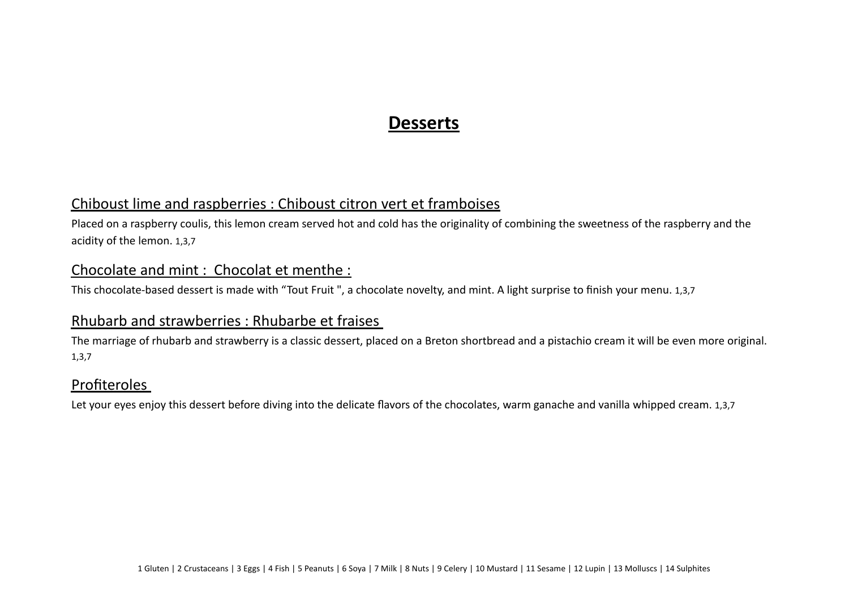# **Desserts**

#### Chiboust lime and raspberries : Chiboust citron vert et framboises

Placed on a raspberry coulis, this lemon cream served hot and cold has the originality of combining the sweetness of the raspberry and the acidity of the lemon. 1,3,7

#### Chocolate and mint : Chocolat et menthe :

This chocolate-based dessert is made with "Tout Fruit ", a chocolate novelty, and mint. A light surprise to finish your menu. 1,3,7

#### Rhubarb and strawberries : Rhubarbe et fraises

The marriage of rhubarb and strawberry is a classic dessert, placed on a Breton shortbread and a pistachio cream it will be even more original. 1,3,7

#### Profiteroles

Let your eyes enjoy this dessert before diving into the delicate flavors of the chocolates, warm ganache and vanilla whipped cream. 1,3,7